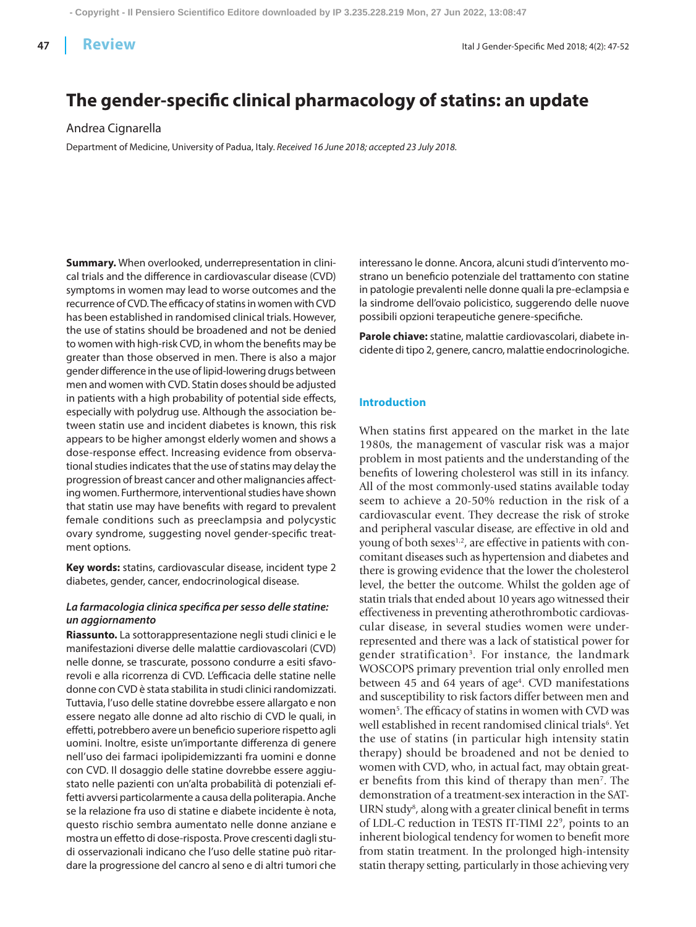**47 Review Review Review Ital J Gender-Specific Med 2018; 4(2): 47-52** 

# **The gender-specific clinical pharmacology of statins: an update**

Andrea Cignarella

Department of Medicine, University of Padua, Italy. *Received 16 June 2018; accepted 23 July 2018.*

**Summary.** When overlooked, underrepresentation in clinical trials and the difference in cardiovascular disease (CVD) symptoms in women may lead to worse outcomes and the recurrence of CVD. The efficacy of statins in women with CVD has been established in randomised clinical trials. However, the use of statins should be broadened and not be denied to women with high-risk CVD, in whom the benefits may be greater than those observed in men. There is also a major gender difference in the use of lipid-lowering drugs between men and women with CVD. Statin doses should be adjusted in patients with a high probability of potential side effects, especially with polydrug use. Although the association between statin use and incident diabetes is known, this risk appears to be higher amongst elderly women and shows a dose-response effect. Increasing evidence from observational studies indicates that the use of statins may delay the progression of breast cancer and other malignancies affecting women. Furthermore, interventional studies have shown that statin use may have benefits with regard to prevalent female conditions such as preeclampsia and polycystic ovary syndrome, suggesting novel gender-specific treatment options.

**Key words:** statins, cardiovascular disease, incident type 2 diabetes, gender, cancer, endocrinological disease.

## *La farmacologia clinica specifica per sesso delle statine: un aggiornamento*

**Riassunto.** La sottorappresentazione negli studi clinici e le manifestazioni diverse delle malattie cardiovascolari (CVD) nelle donne, se trascurate, possono condurre a esiti sfavorevoli e alla ricorrenza di CVD. L'efficacia delle statine nelle donne con CVD è stata stabilita in studi clinici randomizzati. Tuttavia, l'uso delle statine dovrebbe essere allargato e non essere negato alle donne ad alto rischio di CVD le quali, in effetti, potrebbero avere un beneficio superiore rispetto agli uomini. Inoltre, esiste un'importante differenza di genere nell'uso dei farmaci ipolipidemizzanti fra uomini e donne con CVD. Il dosaggio delle statine dovrebbe essere aggiustato nelle pazienti con un'alta probabilità di potenziali effetti avversi particolarmente a causa della politerapia. Anche se la relazione fra uso di statine e diabete incidente è nota, questo rischio sembra aumentato nelle donne anziane e mostra un effetto di dose-risposta. Prove crescenti dagli studi osservazionali indicano che l'uso delle statine può ritardare la progressione del cancro al seno e di altri tumori che interessano le donne. Ancora, alcuni studi d'intervento mostrano un beneficio potenziale del trattamento con statine in patologie prevalenti nelle donne quali la pre-eclampsia e la sindrome dell'ovaio policistico, suggerendo delle nuove possibili opzioni terapeutiche genere-specifiche.

**Parole chiave:** statine, malattie cardiovascolari, diabete incidente di tipo 2, genere, cancro, malattie endocrinologiche.

#### **Introduction**

When statins first appeared on the market in the late 1980s, the management of vascular risk was a major problem in most patients and the understanding of the benefits of lowering cholesterol was still in its infancy. All of the most commonly-used statins available today seem to achieve a 20-50% reduction in the risk of a cardiovascular event. They decrease the risk of stroke and peripheral vascular disease, are effective in old and young of both sexes $^{1,2}$ , are effective in patients with concomitant diseases such as hypertension and diabetes and there is growing evidence that the lower the cholesterol level, the better the outcome. Whilst the golden age of statin trials that ended about 10 years ago witnessed their effectiveness in preventing atherothrombotic cardiovascular disease, in several studies women were underrepresented and there was a lack of statistical power for gender stratification3. For instance, the landmark WOSCOPS primary prevention trial only enrolled men between 45 and 64 years of age<sup>4</sup>. CVD manifestations and susceptibility to risk factors differ between men and women<sup>5</sup>. The efficacy of statins in women with CVD was well established in recent randomised clinical trials<sup>6</sup>. Yet the use of statins (in particular high intensity statin therapy) should be broadened and not be denied to women with CVD, who, in actual fact, may obtain greater benefits from this kind of therapy than men7. The demonstration of a treatment-sex interaction in the SAT-URN study<sup>8</sup>, along with a greater clinical benefit in terms of LDL-C reduction in TESTS IT-TIMI 22<sup>9</sup>, points to an inherent biological tendency for women to benefit more from statin treatment. In the prolonged high-intensity statin therapy setting, particularly in those achieving very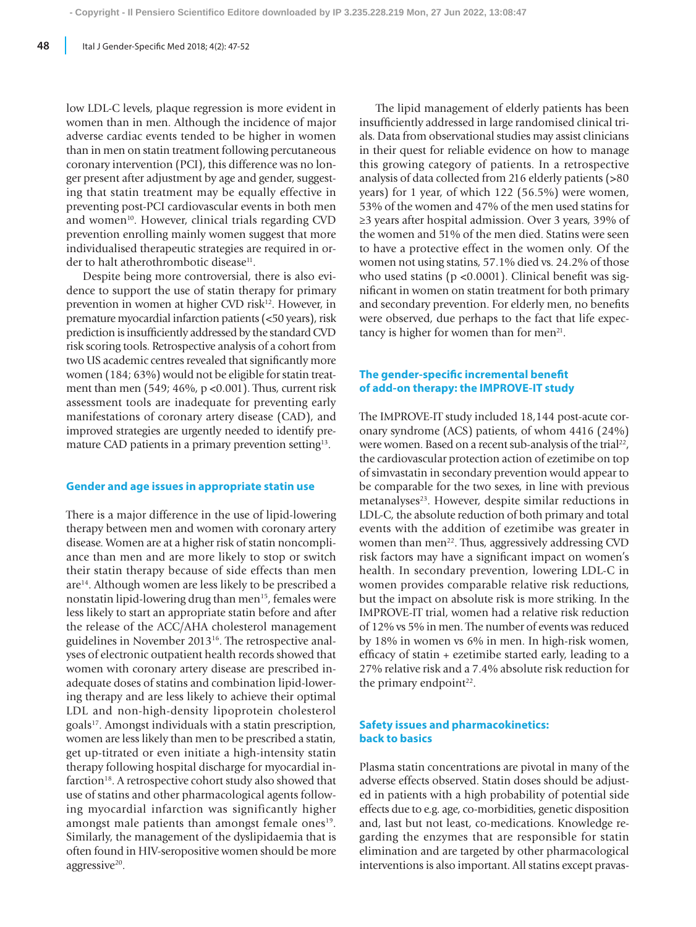low LDL-C levels, plaque regression is more evident in women than in men. Although the incidence of major adverse cardiac events tended to be higher in women than in men on statin treatment following percutaneous coronary intervention (PCI), this difference was no longer present after adjustment by age and gender, suggesting that statin treatment may be equally effective in preventing post-PCI cardiovascular events in both men and women<sup>10</sup>. However, clinical trials regarding CVD prevention enrolling mainly women suggest that more individualised therapeutic strategies are required in order to halt atherothrombotic disease<sup>11</sup>.

Despite being more controversial, there is also evidence to support the use of statin therapy for primary prevention in women at higher CVD risk<sup>12</sup>. However, in premature myocardial infarction patients (<50 years), risk prediction is insufficiently addressed by the standard CVD risk scoring tools. Retrospective analysis of a cohort from two US academic centres revealed that significantly more women (184; 63%) would not be eligible for statin treatment than men (549; 46%, p <0.001). Thus, current risk assessment tools are inadequate for preventing early manifestations of coronary artery disease (CAD), and improved strategies are urgently needed to identify premature CAD patients in a primary prevention setting<sup>13</sup>.

### **Gender and age issues in appropriate statin use**

There is a major difference in the use of lipid-lowering therapy between men and women with coronary artery disease. Women are at a higher risk of statin noncompliance than men and are more likely to stop or switch their statin therapy because of side effects than men are<sup>14</sup>. Although women are less likely to be prescribed a nonstatin lipid-lowering drug than men<sup>15</sup>, females were less likely to start an appropriate statin before and after the release of the ACC/AHA cholesterol management guidelines in November 201316. The retrospective analyses of electronic outpatient health records showed that women with coronary artery disease are prescribed inadequate doses of statins and combination lipid-lowering therapy and are less likely to achieve their optimal LDL and non-high-density lipoprotein cholesterol goals17. Amongst individuals with a statin prescription, women are less likely than men to be prescribed a statin, get up-titrated or even initiate a high-intensity statin therapy following hospital discharge for myocardial infarction<sup>18</sup>. A retrospective cohort study also showed that use of statins and other pharmacological agents following myocardial infarction was significantly higher amongst male patients than amongst female ones<sup>19</sup>. Similarly, the management of the dyslipidaemia that is often found in HIV-seropositive women should be more aggressive<sup>20</sup>.

The lipid management of elderly patients has been insufficiently addressed in large randomised clinical trials. Data from observational studies may assist clinicians in their quest for reliable evidence on how to manage this growing category of patients. In a retrospective analysis of data collected from 216 elderly patients (>80 years) for 1 year, of which 122 (56.5%) were women, 53% of the women and 47% of the men used statins for ≥3 years after hospital admission. Over 3 years, 39% of the women and 51% of the men died. Statins were seen to have a protective effect in the women only. Of the women not using statins, 57.1% died vs. 24.2% of those who used statins (p <0.0001). Clinical benefit was significant in women on statin treatment for both primary and secondary prevention. For elderly men, no benefits were observed, due perhaps to the fact that life expectancy is higher for women than for men<sup>21</sup>.

## **The gender-specific incremental benefit of add-on therapy: the IMPROVE-IT study**

The IMPROVE-IT study included 18,144 post-acute coronary syndrome (ACS) patients, of whom 4416 (24%) were women. Based on a recent sub-analysis of the trial<sup>22</sup>, the cardiovascular protection action of ezetimibe on top of simvastatin in secondary prevention would appear to be comparable for the two sexes, in line with previous metanalyses<sup>23</sup>. However, despite similar reductions in LDL-C, the absolute reduction of both primary and total events with the addition of ezetimibe was greater in women than men<sup>22</sup>. Thus, aggressively addressing CVD risk factors may have a significant impact on women's health. In secondary prevention, lowering LDL-C in women provides comparable relative risk reductions, but the impact on absolute risk is more striking. In the IMPROVE-IT trial, women had a relative risk reduction of 12% vs 5% in men. The number of events was reduced by 18% in women vs 6% in men. In high-risk women, efficacy of statin + ezetimibe started early, leading to a 27% relative risk and a 7.4% absolute risk reduction for the primary endpoint $22$ .

## **Safety issues and pharmacokinetics: back to basics**

Plasma statin concentrations are pivotal in many of the adverse effects observed. Statin doses should be adjusted in patients with a high probability of potential side effects due to e.g. age, co-morbidities, genetic disposition and, last but not least, co-medications. Knowledge regarding the enzymes that are responsible for statin elimination and are targeted by other pharmacological interventions is also important. All statins except pravas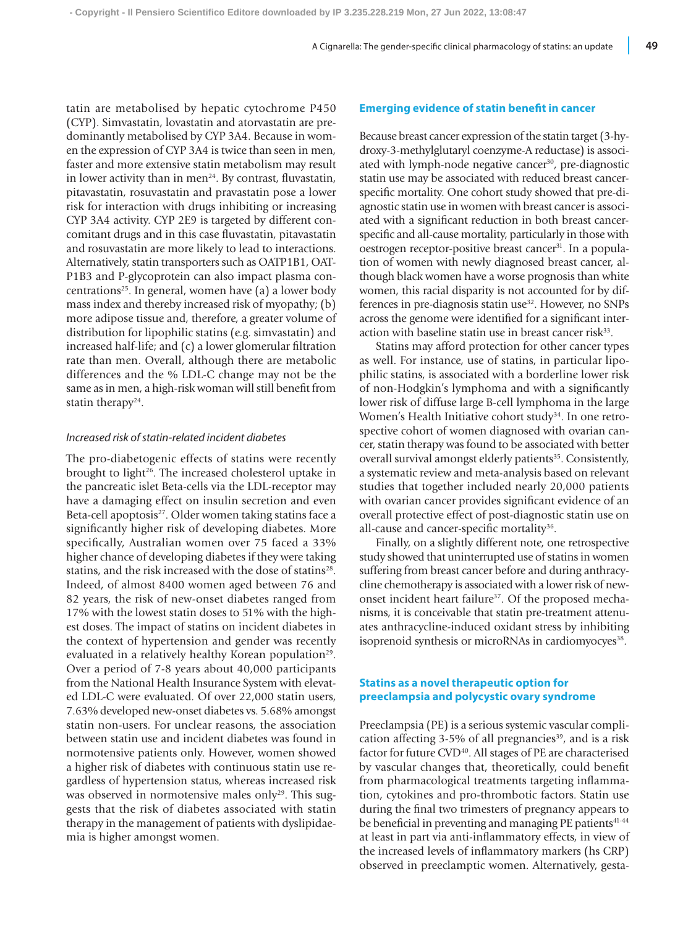tatin are metabolised by hepatic cytochrome P450 (CYP). Simvastatin, lovastatin and atorvastatin are predominantly metabolised by CYP 3A4. Because in women the expression of CYP 3A4 is twice than seen in men, faster and more extensive statin metabolism may result in lower activity than in men<sup>24</sup>. By contrast, fluvastatin, pitavastatin, rosuvastatin and pravastatin pose a lower risk for interaction with drugs inhibiting or increasing CYP 3A4 activity. CYP 2E9 is targeted by different concomitant drugs and in this case fluvastatin, pitavastatin and rosuvastatin are more likely to lead to interactions. Alternatively, statin transporters such as OATP1B1, OAT-P1B3 and P-glycoprotein can also impact plasma concentrations<sup>25</sup>. In general, women have  $(a)$  a lower body mass index and thereby increased risk of myopathy; (b) more adipose tissue and, therefore, a greater volume of distribution for lipophilic statins (e.g. simvastatin) and increased half-life; and (c) a lower glomerular filtration rate than men. Overall, although there are metabolic differences and the % LDL-C change may not be the same as in men, a high-risk woman will still benefit from statin therapy $24$ .

#### *Increased risk of statin-related incident diabetes*

The pro-diabetogenic effects of statins were recently brought to light<sup>26</sup>. The increased cholesterol uptake in the pancreatic islet Beta-cells via the LDL-receptor may have a damaging effect on insulin secretion and even Beta-cell apoptosis<sup>27</sup>. Older women taking statins face a significantly higher risk of developing diabetes. More specifically, Australian women over 75 faced a 33% higher chance of developing diabetes if they were taking statins, and the risk increased with the dose of statins<sup>28</sup>. Indeed, of almost 8400 women aged between 76 and 82 years, the risk of new-onset diabetes ranged from 17% with the lowest statin doses to 51% with the highest doses. The impact of statins on incident diabetes in the context of hypertension and gender was recently evaluated in a relatively healthy Korean population<sup>29</sup>. Over a period of 7-8 years about 40,000 participants from the National Health Insurance System with elevated LDL-C were evaluated. Of over 22,000 statin users, 7.63% developed new-onset diabetes vs. 5.68% amongst statin non-users. For unclear reasons, the association between statin use and incident diabetes was found in normotensive patients only. However, women showed a higher risk of diabetes with continuous statin use regardless of hypertension status, whereas increased risk was observed in normotensive males only<sup>29</sup>. This suggests that the risk of diabetes associated with statin therapy in the management of patients with dyslipidaemia is higher amongst women.

#### **Emerging evidence of statin benefit in cancer**

Because breast cancer expression of the statin target (3-hydroxy-3-methylglutaryl coenzyme-A reductase) is associated with lymph-node negative cancer<sup>30</sup>, pre-diagnostic statin use may be associated with reduced breast cancerspecific mortality. One cohort study showed that pre-diagnostic statin use in women with breast cancer is associated with a significant reduction in both breast cancerspecific and all-cause mortality, particularly in those with oestrogen receptor-positive breast cancer<sup>31</sup>. In a population of women with newly diagnosed breast cancer, although black women have a worse prognosis than white women, this racial disparity is not accounted for by differences in pre-diagnosis statin use<sup>32</sup>. However, no SNPs across the genome were identified for a significant interaction with baseline statin use in breast cancer risk $33$ .

Statins may afford protection for other cancer types as well. For instance, use of statins, in particular lipophilic statins, is associated with a borderline lower risk of non-Hodgkin's lymphoma and with a significantly lower risk of diffuse large B-cell lymphoma in the large Women's Health Initiative cohort study<sup>34</sup>. In one retrospective cohort of women diagnosed with ovarian cancer, statin therapy was found to be associated with better overall survival amongst elderly patients<sup>35</sup>. Consistently, a systematic review and meta-analysis based on relevant studies that together included nearly 20,000 patients with ovarian cancer provides significant evidence of an overall protective effect of post-diagnostic statin use on all-cause and cancer-specific mortality<sup>36</sup>.

Finally, on a slightly different note, one retrospective study showed that uninterrupted use of statins in women suffering from breast cancer before and during anthracycline chemotherapy is associated with a lower risk of newonset incident heart failure<sup>37</sup>. Of the proposed mechanisms, it is conceivable that statin pre-treatment attenuates anthracycline-induced oxidant stress by inhibiting isoprenoid synthesis or microRNAs in cardiomyocyes<sup>38</sup>.

## **Statins as a novel therapeutic option for preeclampsia and polycystic ovary syndrome**

Preeclampsia (PE) is a serious systemic vascular complication affecting  $3-5\%$  of all pregnancies<sup>39</sup>, and is a risk factor for future CVD<sup>40</sup>. All stages of PE are characterised by vascular changes that, theoretically, could benefit from pharmacological treatments targeting inflammation, cytokines and pro-thrombotic factors. Statin use during the final two trimesters of pregnancy appears to be beneficial in preventing and managing PE patients<sup>41-44</sup> at least in part via anti-inflammatory effects, in view of the increased levels of inflammatory markers (hs CRP) observed in preeclamptic women. Alternatively, gesta-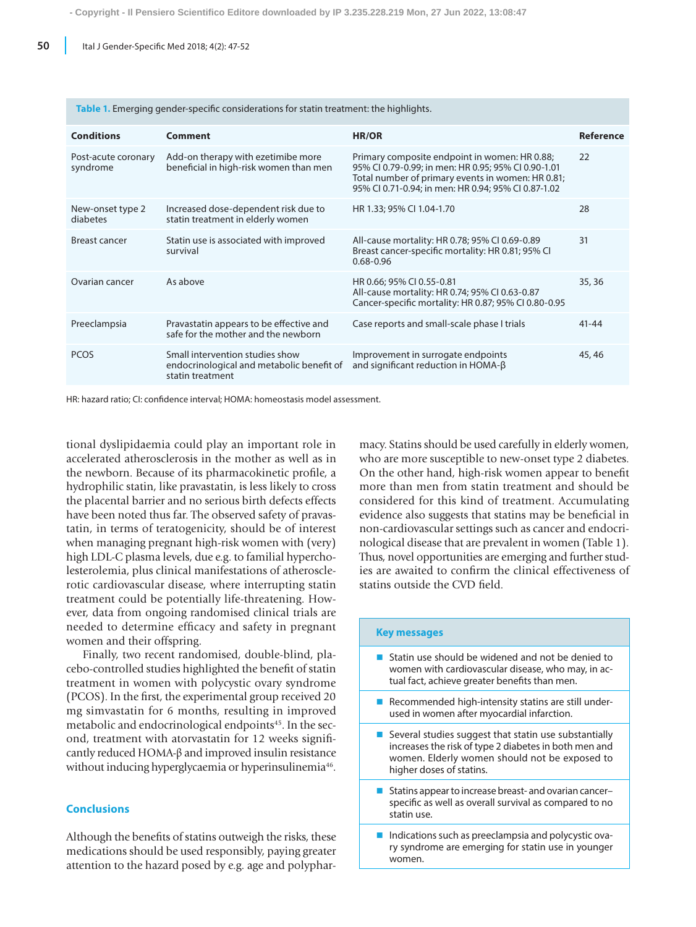| <b>Conditions</b>               | Comment                                                                                          | HR/OR                                                                                                                                                                                                            | <b>Reference</b> |
|---------------------------------|--------------------------------------------------------------------------------------------------|------------------------------------------------------------------------------------------------------------------------------------------------------------------------------------------------------------------|------------------|
| Post-acute coronary<br>syndrome | Add-on therapy with ezetimibe more<br>beneficial in high-risk women than men                     | Primary composite endpoint in women: HR 0.88;<br>95% CI 0.79-0.99; in men: HR 0.95; 95% CI 0.90-1.01<br>Total number of primary events in women: HR 0.81;<br>95% CI 0.71-0.94; in men: HR 0.94; 95% CI 0.87-1.02 | 22               |
| New-onset type 2<br>diabetes    | Increased dose-dependent risk due to<br>statin treatment in elderly women                        | HR 1.33; 95% CI 1.04-1.70                                                                                                                                                                                        | 28               |
| <b>Breast cancer</b>            | Statin use is associated with improved<br>survival                                               | All-cause mortality: HR 0.78; 95% CI 0.69-0.89<br>Breast cancer-specific mortality: HR 0.81; 95% CI<br>$0.68 - 0.96$                                                                                             | 31               |
| Ovarian cancer                  | As above                                                                                         | HR 0.66; 95% CI 0.55-0.81<br>All-cause mortality: HR 0.74; 95% CI 0.63-0.87<br>Cancer-specific mortality: HR 0.87; 95% CI 0.80-0.95                                                                              | 35, 36           |
| Preeclampsia                    | Pravastatin appears to be effective and<br>safe for the mother and the newborn                   | Case reports and small-scale phase I trials                                                                                                                                                                      | $41 - 44$        |
| <b>PCOS</b>                     | Small intervention studies show<br>endocrinological and metabolic benefit of<br>statin treatment | Improvement in surrogate endpoints<br>and significant reduction in HOMA- $\beta$                                                                                                                                 | 45,46            |

**Table 1.** Emerging gender-specific considerations for statin treatment: the highlights.

HR: hazard ratio; CI: confidence interval; HOMA: homeostasis model assessment.

tional dyslipidaemia could play an important role in accelerated atherosclerosis in the mother as well as in the newborn. Because of its pharmacokinetic profile, a hydrophilic statin, like pravastatin, is less likely to cross the placental barrier and no serious birth defects effects have been noted thus far. The observed safety of pravastatin, in terms of teratogenicity, should be of interest when managing pregnant high-risk women with (very) high LDL-C plasma levels, due e.g. to familial hypercholesterolemia, plus clinical manifestations of atherosclerotic cardiovascular disease, where interrupting statin treatment could be potentially life-threatening. However, data from ongoing randomised clinical trials are needed to determine efficacy and safety in pregnant women and their offspring.

Finally, two recent randomised, double-blind, placebo-controlled studies highlighted the benefit of statin treatment in women with polycystic ovary syndrome (PCOS). In the first, the experimental group received 20 mg simvastatin for 6 months, resulting in improved metabolic and endocrinological endpoints<sup>45</sup>. In the second, treatment with atorvastatin for 12 weeks significantly reduced HOMA-β and improved insulin resistance without inducing hyperglycaemia or hyperinsulinemia<sup>46</sup>.

## **Conclusions**

Although the benefits of statins outweigh the risks, these medications should be used responsibly, paying greater attention to the hazard posed by e.g. age and polyphar-

macy. Statins should be used carefully in elderly women, who are more susceptible to new-onset type 2 diabetes. On the other hand, high-risk women appear to benefit more than men from statin treatment and should be considered for this kind of treatment. Accumulating evidence also suggests that statins may be beneficial in non-cardiovascular settings such as cancer and endocrinological disease that are prevalent in women (Table 1). Thus, novel opportunities are emerging and further studies are awaited to confirm the clinical effectiveness of statins outside the CVD field.

| <b>Key messages</b>                                                                                                                                                                         |  |  |
|---------------------------------------------------------------------------------------------------------------------------------------------------------------------------------------------|--|--|
| Statin use should be widened and not be denied to<br>women with cardiovascular disease, who may, in ac-<br>tual fact, achieve greater benefits than men.                                    |  |  |
| Recommended high-intensity statins are still under-<br>used in women after myocardial infarction.                                                                                           |  |  |
| Several studies suggest that statin use substantially<br>increases the risk of type 2 diabetes in both men and<br>women. Elderly women should not be exposed to<br>higher doses of statins. |  |  |
| Statins appear to increase breast- and ovarian cancer-<br>specific as well as overall survival as compared to no<br>statin use.                                                             |  |  |
| Indications such as preeclampsia and polycystic ova-<br>ry syndrome are emerging for statin use in younger<br>women.                                                                        |  |  |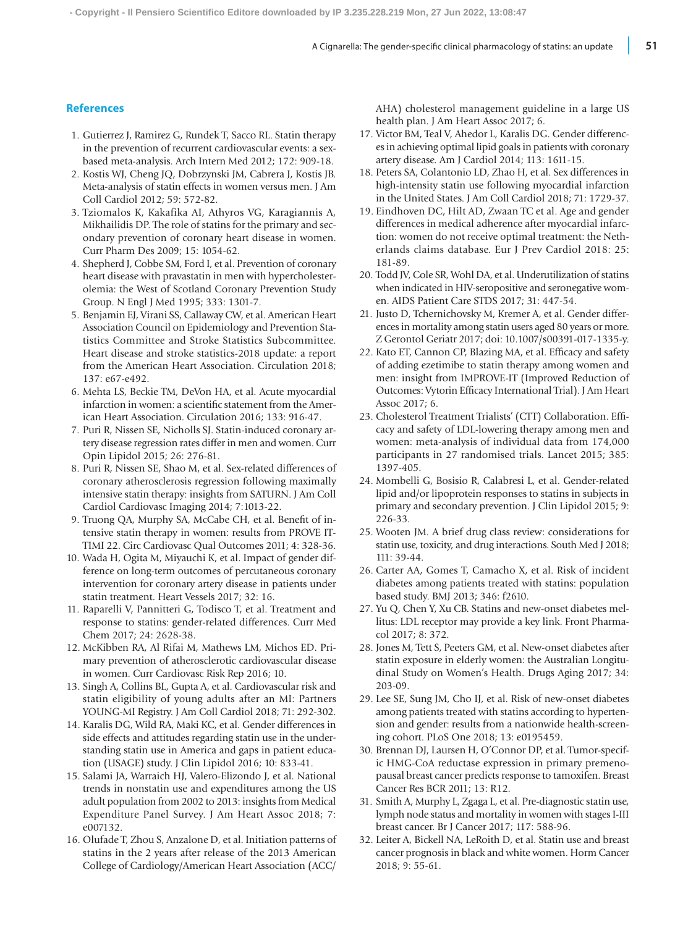### **References**

- 1. Gutierrez J, Ramirez G, Rundek T, Sacco RL. Statin therapy in the prevention of recurrent cardiovascular events: a sexbased meta-analysis. Arch Intern Med 2012; 172: 909-18.
- 2. Kostis WJ, Cheng JQ, Dobrzynski JM, Cabrera J, Kostis JB. Meta-analysis of statin effects in women versus men. J Am Coll Cardiol 2012; 59: 572-82.
- 3. Tziomalos K, Kakafika AI, Athyros VG, Karagiannis A, Mikhailidis DP. The role of statins for the primary and secondary prevention of coronary heart disease in women. Curr Pharm Des 2009; 15: 1054-62.
- 4. Shepherd J, Cobbe SM, Ford I, et al. Prevention of coronary heart disease with pravastatin in men with hypercholesterolemia: the West of Scotland Coronary Prevention Study Group. N Engl J Med 1995; 333: 1301-7.
- 5. Benjamin EJ, Virani SS, Callaway CW, et al. American Heart Association Council on Epidemiology and Prevention Statistics Committee and Stroke Statistics Subcommittee. Heart disease and stroke statistics-2018 update: a report from the American Heart Association. Circulation 2018; 137: e67-e492.
- 6. Mehta LS, Beckie TM, DeVon HA, et al. Acute myocardial infarction in women: a scientific statement from the American Heart Association. Circulation 2016; 133: 916-47.
- 7. Puri R, Nissen SE, Nicholls SJ. Statin-induced coronary artery disease regression rates differ in men and women. Curr Opin Lipidol 2015; 26: 276-81.
- 8. Puri R, Nissen SE, Shao M, et al. Sex-related differences of coronary atherosclerosis regression following maximally intensive statin therapy: insights from SATURN. J Am Coll Cardiol Cardiovasc Imaging 2014; 7:1013-22.
- 9. Truong QA, Murphy SA, McCabe CH, et al. Benefit of intensive statin therapy in women: results from PROVE IT-TIMI 22. Circ Cardiovasc Qual Outcomes 2011; 4: 328-36.
- 10. Wada H, Ogita M, Miyauchi K, et al. Impact of gender difference on long-term outcomes of percutaneous coronary intervention for coronary artery disease in patients under statin treatment. Heart Vessels 2017; 32: 16.
- 11. Raparelli V, Pannitteri G, Todisco T, et al. Treatment and response to statins: gender-related differences. Curr Med Chem 2017; 24: 2628-38.
- 12. McKibben RA, Al Rifai M, Mathews LM, Michos ED. Primary prevention of atherosclerotic cardiovascular disease in women. Curr Cardiovasc Risk Rep 2016; 10.
- 13. Singh A, Collins BL, Gupta A, et al. Cardiovascular risk and statin eligibility of young adults after an MI: Partners YOUNG-MI Registry. J Am Coll Cardiol 2018; 71: 292-302.
- 14. Karalis DG, Wild RA, Maki KC, et al. Gender differences in side effects and attitudes regarding statin use in the understanding statin use in America and gaps in patient education (USAGE) study. J Clin Lipidol 2016; 10: 833-41.
- 15. Salami JA, Warraich HJ, Valero-Elizondo J, et al. National trends in nonstatin use and expenditures among the US adult population from 2002 to 2013: insights from Medical Expenditure Panel Survey. J Am Heart Assoc 2018; 7: e007132.
- 16. Olufade T, Zhou S, Anzalone D, et al. Initiation patterns of statins in the 2 years after release of the 2013 American College of Cardiology/American Heart Association (ACC/

AHA) cholesterol management guideline in a large US health plan. J Am Heart Assoc 2017; 6.

- 17. Victor BM, Teal V, Ahedor L, Karalis DG. Gender differences in achieving optimal lipid goals in patients with coronary artery disease. Am J Cardiol 2014; 113: 1611-15.
- 18. Peters SA, Colantonio LD, Zhao H, et al. Sex differences in high-intensity statin use following myocardial infarction in the United States. J Am Coll Cardiol 2018; 71: 1729-37.
- 19. Eindhoven DC, Hilt AD, Zwaan TC et al. Age and gender differences in medical adherence after myocardial infarction: women do not receive optimal treatment: the Netherlands claims database. Eur J Prev Cardiol 2018: 25: 181-89.
- 20. Todd JV, Cole SR, Wohl DA, et al. Underutilization of statins when indicated in HIV-seropositive and seronegative women. AIDS Patient Care STDS 2017; 31: 447-54.
- 21. Justo D, Tchernichovsky M, Kremer A, et al. Gender differences in mortality among statin users aged 80 years or more. Z Gerontol Geriatr 2017; doi: 10.1007/s00391-017-1335-y.
- 22. Kato ET, Cannon CP, Blazing MA, et al. Efficacy and safety of adding ezetimibe to statin therapy among women and men: insight from IMPROVE-IT (Improved Reduction of Outcomes: Vytorin Efficacy International Trial). J Am Heart Assoc 2017; 6.
- 23. Cholesterol Treatment Trialists' (CTT) Collaboration. Efficacy and safety of LDL-lowering therapy among men and women: meta-analysis of individual data from 174,000 participants in 27 randomised trials. Lancet 2015; 385: 1397-405.
- 24. Mombelli G, Bosisio R, Calabresi L, et al. Gender-related lipid and/or lipoprotein responses to statins in subjects in primary and secondary prevention. J Clin Lipidol 2015; 9: 226-33.
- 25. Wooten JM. A brief drug class review: considerations for statin use, toxicity, and drug interactions. South Med J 2018; 111: 39-44.
- 26. Carter AA, Gomes T, Camacho X, et al. Risk of incident diabetes among patients treated with statins: population based study. BMJ 2013; 346: f2610.
- 27. Yu Q, Chen Y, Xu CB. Statins and new-onset diabetes mellitus: LDL receptor may provide a key link. Front Pharmacol 2017; 8: 372.
- 28. Jones M, Tett S, Peeters GM, et al. New-onset diabetes after statin exposure in elderly women: the Australian Longitudinal Study on Women's Health. Drugs Aging 2017; 34: 203-09.
- 29. Lee SE, Sung JM, Cho IJ, et al. Risk of new-onset diabetes among patients treated with statins according to hypertension and gender: results from a nationwide health-screening cohort. PLoS One 2018; 13: e0195459.
- 30. Brennan DJ, Laursen H, O'Connor DP, et al. Tumor-specific HMG-CoA reductase expression in primary premenopausal breast cancer predicts response to tamoxifen. Breast Cancer Res BCR 2011; 13: R12.
- 31. Smith A, Murphy L, Zgaga L, et al. Pre-diagnostic statin use, lymph node status and mortality in women with stages I-III breast cancer. Br J Cancer 2017; 117: 588-96.
- 32. Leiter A, Bickell NA, LeRoith D, et al. Statin use and breast cancer prognosis in black and white women. Horm Cancer 2018; 9: 55-61.